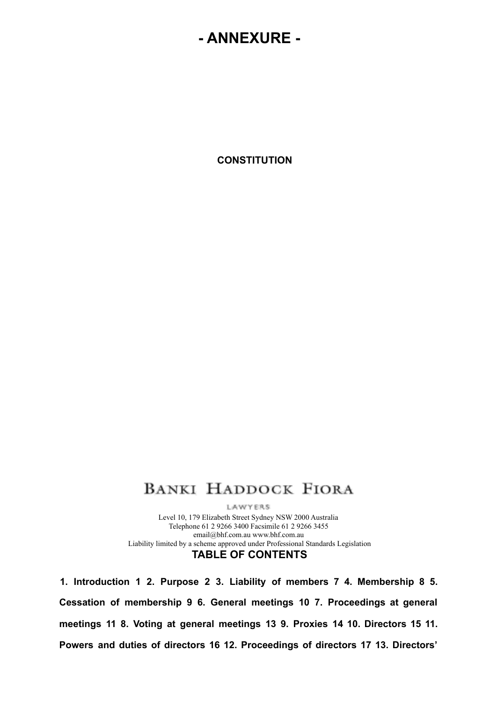# **- ANNEXURE -**

**CONSTITUTION**

# **BANKI HADDOCK FIORA**

LAWYERS Level 10, 179 Elizabeth Street Sydney NSW 2000 Australia Telephone 61 2 9266 3400 Facsimile 61 2 9266 3455 email@bhf.com.au www.bhf.com.au Liability limited by a scheme approved under Professional Standards Legislation **TABLE OF CONTENTS**

**1. Introduction 1 2. Purpose 2 3. Liability of members 7 4. Membership 8 5. Cessation of membership 9 6. General meetings 10 7. Proceedings at general meetings 11 8. Voting at general meetings 13 9. Proxies 14 10. Directors 15 11. Powers and duties of directors 16 12. Proceedings of directors 17 13. Directors'**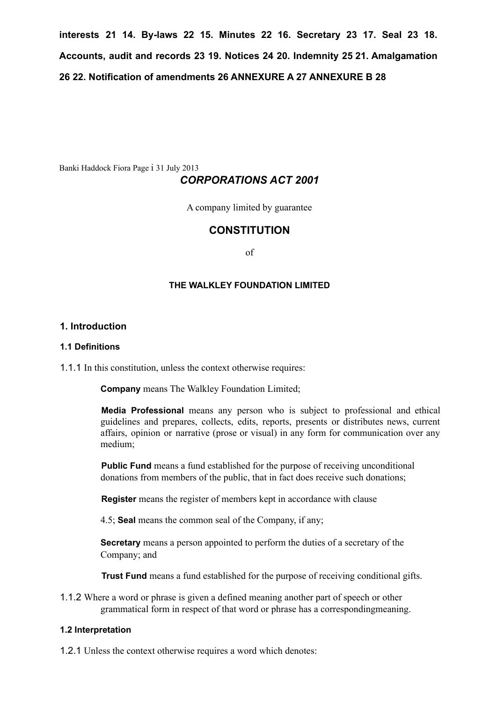**interests 21 14. By-laws 22 15. Minutes 22 16. Secretary 23 17. Seal 23 18. Accounts, audit and records 23 19. Notices 24 20. Indemnity 25 21. Amalgamation 26 22. Notification of amendments 26 ANNEXURE A 27 ANNEXURE B 28**

Banki Haddock Fiora Page i 31 July 2013

# *CORPORATIONS ACT 2001*

A company limited by guarantee

# **CONSTITUTION**

of

## **THE WALKLEY FOUNDATION LIMITED**

## **1. Introduction**

### **1.1 Definitions**

1.1.1 In this constitution, unless the context otherwise requires:

**Company** means The Walkley Foundation Limited;

**Media Professional** means any person who is subject to professional and ethical guidelines and prepares, collects, edits, reports, presents or distributes news, current affairs, opinion or narrative (prose or visual) in any form for communication over any medium;

**Public Fund** means a fund established for the purpose of receiving unconditional donations from members of the public, that in fact does receive such donations;

**Register** means the register of members kept in accordance with clause

4.5; **Seal** means the common seal of the Company, if any;

**Secretary** means a person appointed to perform the duties of a secretary of the Company; and

**Trust Fund** means a fund established for the purpose of receiving conditional gifts.

1.1.2 Where a word or phrase is given a defined meaning another part of speech or other grammatical form in respect of that word or phrase has a correspondingmeaning.

#### **1.2 Interpretation**

1.2.1 Unless the context otherwise requires a word which denotes: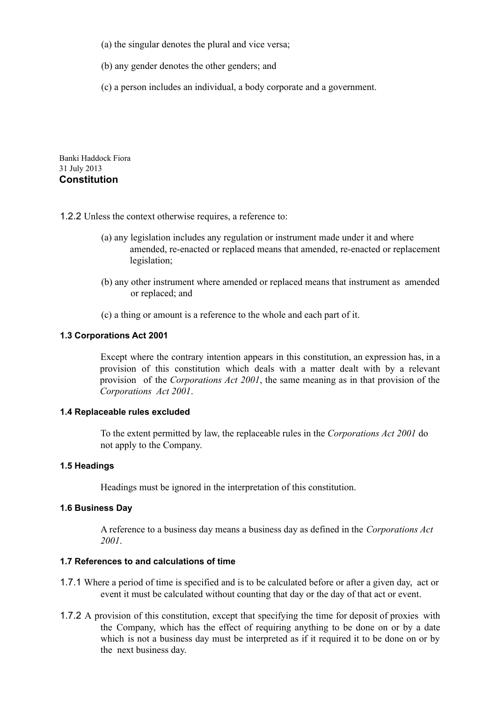- (a) the singular denotes the plural and vice versa;
- (b) any gender denotes the other genders; and
- (c) a person includes an individual, a body corporate and a government.

Banki Haddock Fiora 31 July 2013 **Constitution**

- 1.2.2 Unless the context otherwise requires, a reference to:
	- (a) any legislation includes any regulation or instrument made under it and where amended, re-enacted or replaced means that amended, re-enacted or replacement legislation;
	- (b) any other instrument where amended or replaced means that instrument as amended or replaced; and
	- (c) a thing or amount is a reference to the whole and each part of it.

## **1.3 Corporations Act 2001**

Except where the contrary intention appears in this constitution, an expression has, in a provision of this constitution which deals with a matter dealt with by a relevant provision of the *Corporations Act 2001*, the same meaning as in that provision of the *Corporations Act 2001*.

#### **1.4 Replaceable rules excluded**

To the extent permitted by law, the replaceable rules in the *Corporations Act 2001* do not apply to the Company.

#### **1.5 Headings**

Headings must be ignored in the interpretation of this constitution.

## **1.6 Business Day**

A reference to a business day means a business day as defined in the *Corporations Act 2001*.

# **1.7 References to and calculations of time**

- 1.7.1 Where a period of time is specified and is to be calculated before or after a given day, act or event it must be calculated without counting that day or the day of that act or event.
- 1.7.2 A provision of this constitution, except that specifying the time for deposit of proxies with the Company, which has the effect of requiring anything to be done on or by a date which is not a business day must be interpreted as if it required it to be done on or by the next business day.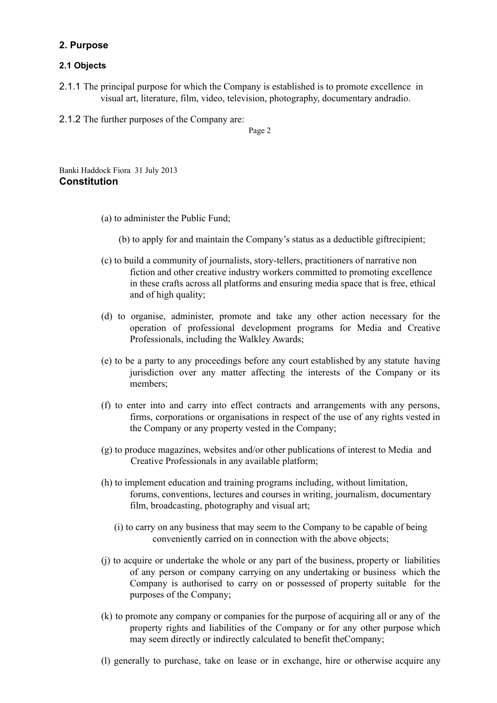# **2. Purpose**

# **2.1 Objects**

2.1.1 The principal purpose for which the Company is established is to promote excellence in visual art, literature, film, video, television, photography, documentary andradio.

2.1.2 The further purposes of the Company are:

Page 2

Banki Haddock Fiora 31 July 2013 **Constitution**

- (a) to administer the Public Fund;
	- (b) to apply for and maintain the Company's status as a deductible giftrecipient;
- (c) to build a community of journalists, story-tellers, practitioners of narrative non fiction and other creative industry workers committed to promoting excellence in these crafts across all platforms and ensuring media space that is free, ethical and of high quality;
- (d) to organise, administer, promote and take any other action necessary for the operation of professional development programs for Media and Creative Professionals, including the Walkley Awards;
- (e) to be a party to any proceedings before any court established by any statute having jurisdiction over any matter affecting the interests of the Company or its members;
- (f) to enter into and carry into effect contracts and arrangements with any persons, firms, corporations or organisations in respect of the use of any rights vested in the Company or any property vested in the Company;
- (g) to produce magazines, websites and/or other publications of interest to Media and Creative Professionals in any available platform;
- (h) to implement education and training programs including, without limitation, forums, conventions, lectures and courses in writing, journalism, documentary film, broadcasting, photography and visual art;
	- (i) to carry on any business that may seem to the Company to be capable of being conveniently carried on in connection with the above objects;
- (j) to acquire or undertake the whole or any part of the business, property or liabilities of any person or company carrying on any undertaking or business which the Company is authorised to carry on or possessed of property suitable for the purposes of the Company;
- (k) to promote any company or companies for the purpose of acquiring all or any of the property rights and liabilities of the Company or for any other purpose which may seem directly or indirectly calculated to benefit theCompany;
- (l) generally to purchase, take on lease or in exchange, hire or otherwise acquire any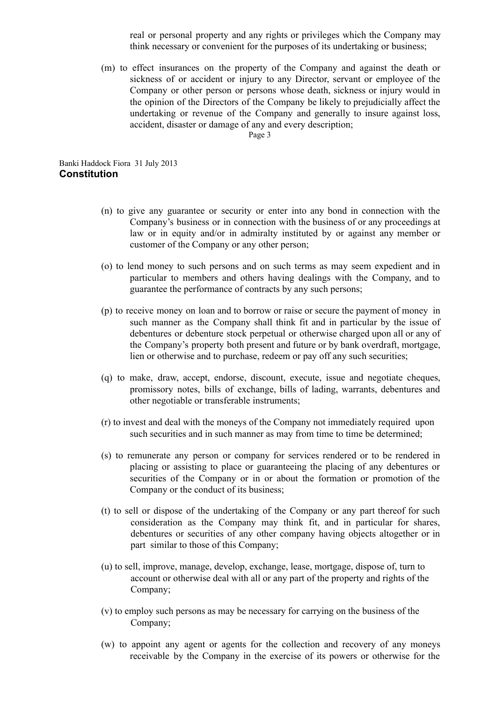real or personal property and any rights or privileges which the Company may think necessary or convenient for the purposes of its undertaking or business;

(m) to effect insurances on the property of the Company and against the death or sickness of or accident or injury to any Director, servant or employee of the Company or other person or persons whose death, sickness or injury would in the opinion of the Directors of the Company be likely to prejudicially affect the undertaking or revenue of the Company and generally to insure against loss, accident, disaster or damage of any and every description;

Page 3

Banki Haddock Fiora 31 July 2013 **Constitution**

- (n) to give any guarantee or security or enter into any bond in connection with the Company's business or in connection with the business of or any proceedings at law or in equity and/or in admiralty instituted by or against any member or customer of the Company or any other person;
- (o) to lend money to such persons and on such terms as may seem expedient and in particular to members and others having dealings with the Company, and to guarantee the performance of contracts by any such persons;
- (p) to receive money on loan and to borrow or raise or secure the payment of money in such manner as the Company shall think fit and in particular by the issue of debentures or debenture stock perpetual or otherwise charged upon all or any of the Company's property both present and future or by bank overdraft, mortgage, lien or otherwise and to purchase, redeem or pay off any such securities;
- (q) to make, draw, accept, endorse, discount, execute, issue and negotiate cheques, promissory notes, bills of exchange, bills of lading, warrants, debentures and other negotiable or transferable instruments;
- (r) to invest and deal with the moneys of the Company not immediately required upon such securities and in such manner as may from time to time be determined;
- (s) to remunerate any person or company for services rendered or to be rendered in placing or assisting to place or guaranteeing the placing of any debentures or securities of the Company or in or about the formation or promotion of the Company or the conduct of its business;
- (t) to sell or dispose of the undertaking of the Company or any part thereof for such consideration as the Company may think fit, and in particular for shares, debentures or securities of any other company having objects altogether or in part similar to those of this Company;
- (u) to sell, improve, manage, develop, exchange, lease, mortgage, dispose of, turn to account or otherwise deal with all or any part of the property and rights of the Company;
- (v) to employ such persons as may be necessary for carrying on the business of the Company;
- (w) to appoint any agent or agents for the collection and recovery of any moneys receivable by the Company in the exercise of its powers or otherwise for the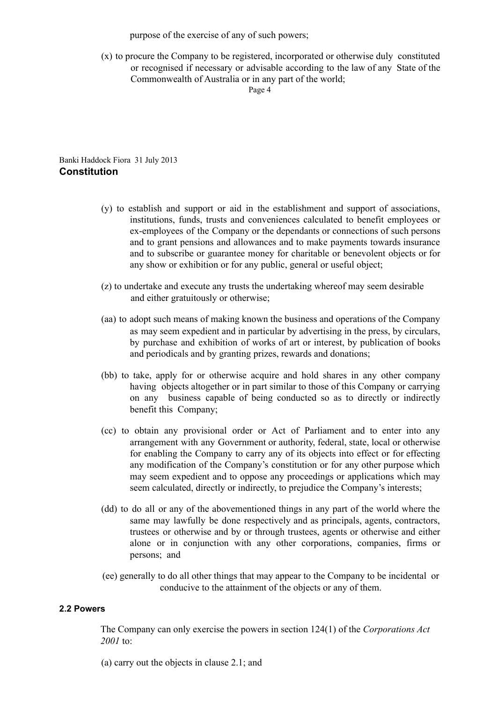purpose of the exercise of any of such powers;

(x) to procure the Company to be registered, incorporated or otherwise duly constituted or recognised if necessary or advisable according to the law of any State of the Commonwealth of Australia or in any part of the world;

Page 4

Banki Haddock Fiora 31 July 2013 **Constitution**

- (y) to establish and support or aid in the establishment and support of associations, institutions, funds, trusts and conveniences calculated to benefit employees or ex-employees of the Company or the dependants or connections of such persons and to grant pensions and allowances and to make payments towards insurance and to subscribe or guarantee money for charitable or benevolent objects or for any show or exhibition or for any public, general or useful object;
- (z) to undertake and execute any trusts the undertaking whereof may seem desirable and either gratuitously or otherwise;
- (aa) to adopt such means of making known the business and operations of the Company as may seem expedient and in particular by advertising in the press, by circulars, by purchase and exhibition of works of art or interest, by publication of books and periodicals and by granting prizes, rewards and donations;
- (bb) to take, apply for or otherwise acquire and hold shares in any other company having objects altogether or in part similar to those of this Company or carrying on any business capable of being conducted so as to directly or indirectly benefit this Company;
- (cc) to obtain any provisional order or Act of Parliament and to enter into any arrangement with any Government or authority, federal, state, local or otherwise for enabling the Company to carry any of its objects into effect or for effecting any modification of the Company's constitution or for any other purpose which may seem expedient and to oppose any proceedings or applications which may seem calculated, directly or indirectly, to prejudice the Company's interests;
- (dd) to do all or any of the abovementioned things in any part of the world where the same may lawfully be done respectively and as principals, agents, contractors, trustees or otherwise and by or through trustees, agents or otherwise and either alone or in conjunction with any other corporations, companies, firms or persons; and
- (ee) generally to do all other things that may appear to the Company to be incidental or conducive to the attainment of the objects or any of them.

# **2.2 Powers**

The Company can only exercise the powers in section 124(1) of the *Corporations Act 2001* to:

(a) carry out the objects in clause 2.1; and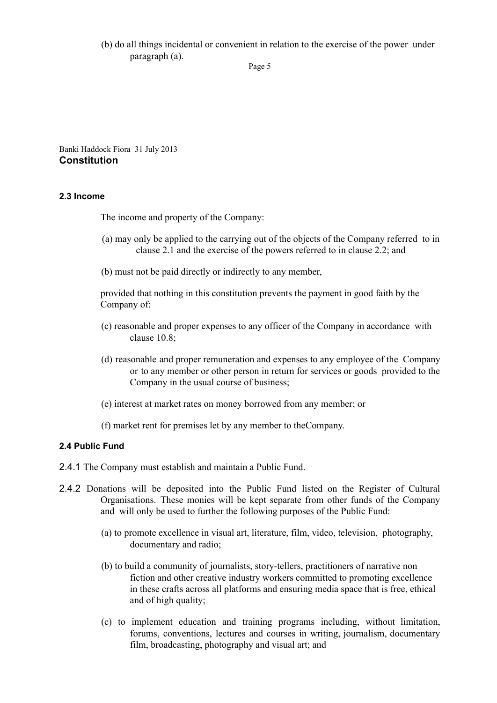(b) do all things incidental or convenient in relation to the exercise of the power under paragraph (a).

Banki Haddock Fiora 31 July 2013 **Constitution**

## **2.3 Income**

The income and property of the Company:

- (a) may only be applied to the carrying out of the objects of the Company referred to in clause 2.1 and the exercise of the powers referred to in clause 2.2; and
- (b) must not be paid directly or indirectly to any member,

provided that nothing in this constitution prevents the payment in good faith by the Company of:

- (c) reasonable and proper expenses to any officer of the Company in accordance with clause 10.8;
- (d) reasonable and proper remuneration and expenses to any employee of the Company or to any member or other person in return for services or goods provided to the Company in the usual course of business;
- (e) interest at market rates on money borrowed from any member; or
- (f) market rent for premises let by any member to theCompany.

# **2.4 Public Fund**

2.4.1 The Company must establish and maintain a Public Fund.

- 2.4.2 Donations will be deposited into the Public Fund listed on the Register of Cultural Organisations. These monies will be kept separate from other funds of the Company and will only be used to further the following purposes of the Public Fund:
	- (a) to promote excellence in visual art, literature, film, video, television, photography, documentary and radio;
	- (b) to build a community of journalists, story-tellers, practitioners of narrative non fiction and other creative industry workers committed to promoting excellence in these crafts across all platforms and ensuring media space that is free, ethical and of high quality;
	- (c) to implement education and training programs including, without limitation, forums, conventions, lectures and courses in writing, journalism, documentary film, broadcasting, photography and visual art; and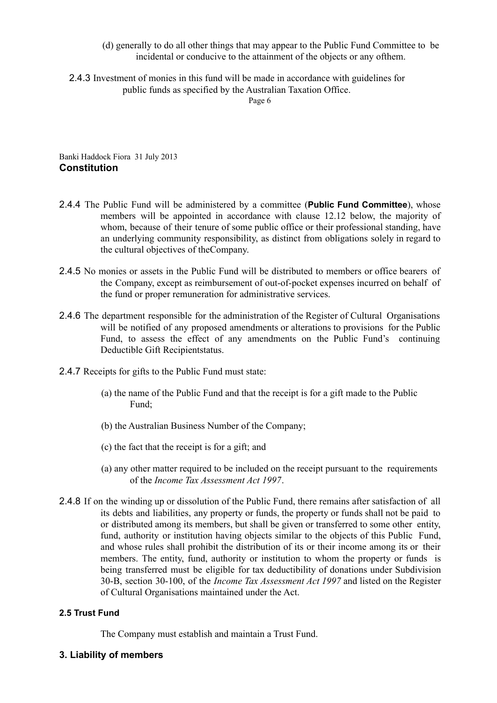- (d) generally to do all other things that may appear to the Public Fund Committee to be incidental or conducive to the attainment of the objects or any ofthem.
- 2.4.3 Investment of monies in this fund will be made in accordance with guidelines for public funds as specified by the Australian Taxation Office.

Page 6

Banki Haddock Fiora 31 July 2013 **Constitution**

- 2.4.4 The Public Fund will be administered by a committee (**Public Fund Committee**), whose members will be appointed in accordance with clause 12.12 below, the majority of whom, because of their tenure of some public office or their professional standing, have an underlying community responsibility, as distinct from obligations solely in regard to the cultural objectives of theCompany.
- 2.4.5 No monies or assets in the Public Fund will be distributed to members or office bearers of the Company, except as reimbursement of out-of-pocket expenses incurred on behalf of the fund or proper remuneration for administrative services.
- 2.4.6 The department responsible for the administration of the Register of Cultural Organisations will be notified of any proposed amendments or alterations to provisions for the Public Fund, to assess the effect of any amendments on the Public Fund's continuing Deductible Gift Recipientstatus.
- 2.4.7 Receipts for gifts to the Public Fund must state:
	- (a) the name of the Public Fund and that the receipt is for a gift made to the Public Fund;
	- (b) the Australian Business Number of the Company;
	- (c) the fact that the receipt is for a gift; and
	- (a) any other matter required to be included on the receipt pursuant to the requirements of the *Income Tax Assessment Act 1997*.
- 2.4.8 If on the winding up or dissolution of the Public Fund, there remains after satisfaction of all its debts and liabilities, any property or funds, the property or funds shall not be paid to or distributed among its members, but shall be given or transferred to some other entity, fund, authority or institution having objects similar to the objects of this Public Fund, and whose rules shall prohibit the distribution of its or their income among its or their members. The entity, fund, authority or institution to whom the property or funds is being transferred must be eligible for tax deductibility of donations under Subdivision 30-B, section 30-100, of the *Income Tax Assessment Act 1997* and listed on the Register of Cultural Organisations maintained under the Act.

# **2.5 Trust Fund**

The Company must establish and maintain a Trust Fund.

# **3. Liability of members**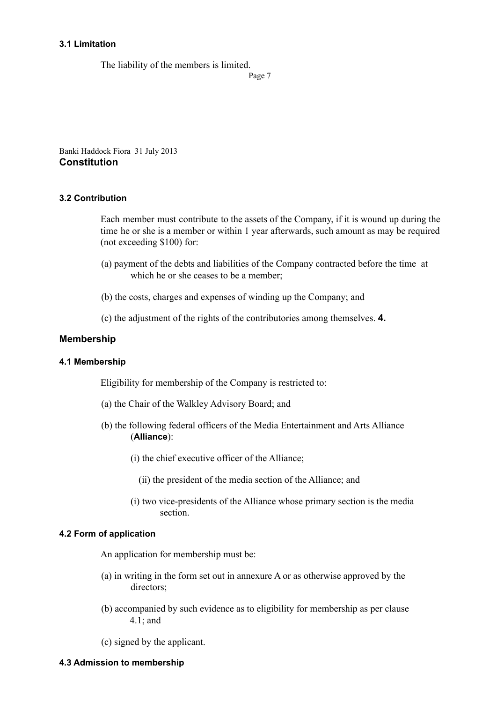### **3.1 Limitation**

The liability of the members is limited.

Page 7

Banki Haddock Fiora 31 July 2013 **Constitution**

## **3.2 Contribution**

Each member must contribute to the assets of the Company, if it is wound up during the time he or she is a member or within 1 year afterwards, such amount as may be required (not exceeding \$100) for:

- (a) payment of the debts and liabilities of the Company contracted before the time at which he or she ceases to be a member;
- (b) the costs, charges and expenses of winding up the Company; and
- (c) the adjustment of the rights of the contributories among themselves. **4.**

# **Membership**

#### **4.1 Membership**

Eligibility for membership of the Company is restricted to:

- (a) the Chair of the Walkley Advisory Board; and
- (b) the following federal officers of the Media Entertainment and Arts Alliance (**Alliance**):
	- (i) the chief executive officer of the Alliance;
		- (ii) the president of the media section of the Alliance; and
	- (i) two vice-presidents of the Alliance whose primary section is the media section.

#### **4.2 Form of application**

An application for membership must be:

- (a) in writing in the form set out in annexure A or as otherwise approved by the directors;
- (b) accompanied by such evidence as to eligibility for membership as per clause 4.1; and

(c) signed by the applicant.

### **4.3 Admission to membership**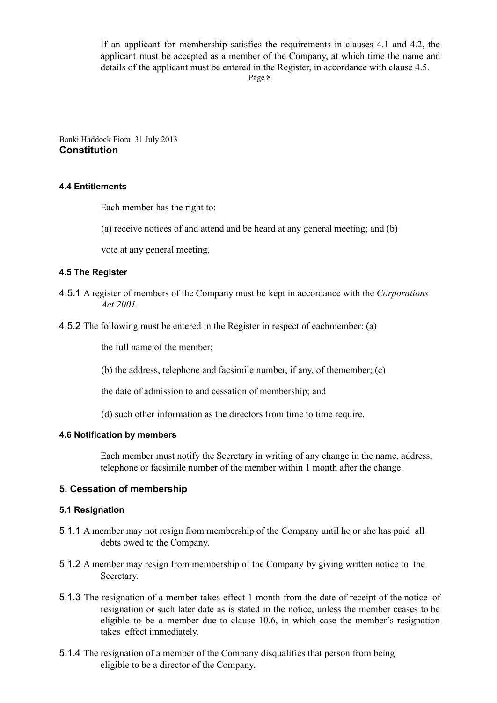If an applicant for membership satisfies the requirements in clauses 4.1 and 4.2, the applicant must be accepted as a member of the Company, at which time the name and details of the applicant must be entered in the Register, in accordance with clause 4.5.

Page 8

Banki Haddock Fiora 31 July 2013 **Constitution**

## **4.4 Entitlements**

Each member has the right to:

(a) receive notices of and attend and be heard at any general meeting; and (b)

vote at any general meeting.

## **4.5 The Register**

- 4.5.1 A register of members of the Company must be kept in accordance with the *Corporations Act 2001*.
- 4.5.2 The following must be entered in the Register in respect of eachmember: (a)

the full name of the member;

(b) the address, telephone and facsimile number, if any, of themember; (c)

the date of admission to and cessation of membership; and

(d) such other information as the directors from time to time require.

#### **4.6 Notification by members**

Each member must notify the Secretary in writing of any change in the name, address, telephone or facsimile number of the member within 1 month after the change.

# **5. Cessation of membership**

#### **5.1 Resignation**

- 5.1.1 A member may not resign from membership of the Company until he or she has paid all debts owed to the Company.
- 5.1.2 A member may resign from membership of the Company by giving written notice to the Secretary.
- 5.1.3 The resignation of a member takes effect 1 month from the date of receipt of the notice of resignation or such later date as is stated in the notice, unless the member ceases to be eligible to be a member due to clause 10.6, in which case the member's resignation takes effect immediately.
- 5.1.4 The resignation of a member of the Company disqualifies that person from being eligible to be a director of the Company.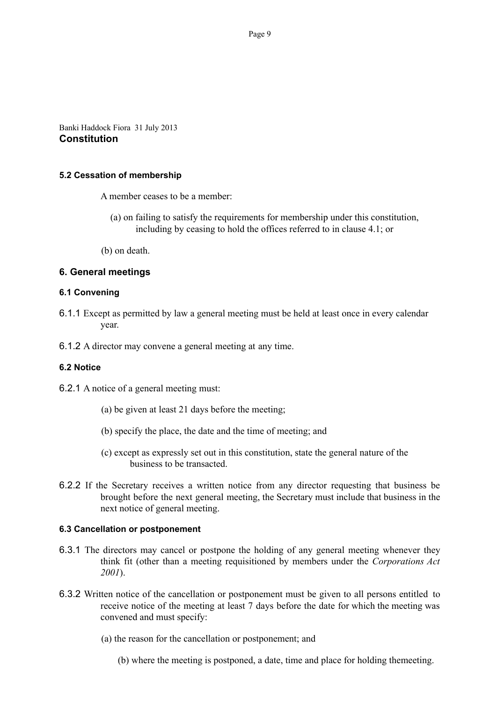Banki Haddock Fiora 31 July 2013 **Constitution**

#### **5.2 Cessation of membership**

A member ceases to be a member:

- (a) on failing to satisfy the requirements for membership under this constitution, including by ceasing to hold the offices referred to in clause 4.1; or
- (b) on death.

## **6. General meetings**

#### **6.1 Convening**

6.1.1 Except as permitted by law a general meeting must be held at least once in every calendar year.

6.1.2 A director may convene a general meeting at any time.

#### **6.2 Notice**

6.2.1 A notice of a general meeting must:

- (a) be given at least 21 days before the meeting;
- (b) specify the place, the date and the time of meeting; and
- (c) except as expressly set out in this constitution, state the general nature of the business to be transacted.
- 6.2.2 If the Secretary receives a written notice from any director requesting that business be brought before the next general meeting, the Secretary must include that business in the next notice of general meeting.

#### **6.3 Cancellation or postponement**

- 6.3.1 The directors may cancel or postpone the holding of any general meeting whenever they think fit (other than a meeting requisitioned by members under the *Corporations Act 2001*).
- 6.3.2 Written notice of the cancellation or postponement must be given to all persons entitled to receive notice of the meeting at least 7 days before the date for which the meeting was convened and must specify:
	- (a) the reason for the cancellation or postponement; and
		- (b) where the meeting is postponed, a date, time and place for holding themeeting.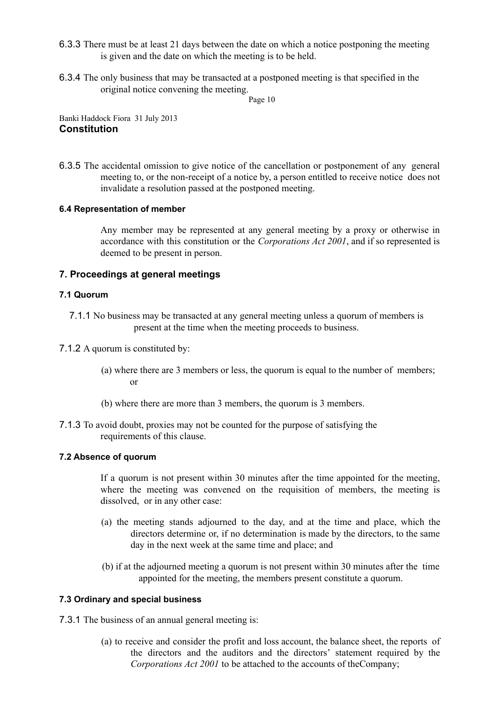- 6.3.3 There must be at least 21 days between the date on which a notice postponing the meeting is given and the date on which the meeting is to be held.
- 6.3.4 The only business that may be transacted at a postponed meeting is that specified in the original notice convening the meeting.

Page 10

Banki Haddock Fiora 31 July 2013 **Constitution**

6.3.5 The accidental omission to give notice of the cancellation or postponement of any general meeting to, or the non-receipt of a notice by, a person entitled to receive notice does not invalidate a resolution passed at the postponed meeting.

# **6.4 Representation of member**

Any member may be represented at any general meeting by a proxy or otherwise in accordance with this constitution or the *Corporations Act 2001*, and if so represented is deemed to be present in person.

# **7. Proceedings at general meetings**

## **7.1 Quorum**

- 7.1.1 No business may be transacted at any general meeting unless a quorum of members is present at the time when the meeting proceeds to business.
- 7.1.2 A quorum is constituted by:
	- (a) where there are 3 members or less, the quorum is equal to the number of members; or
	- (b) where there are more than 3 members, the quorum is 3 members.
- 7.1.3 To avoid doubt, proxies may not be counted for the purpose of satisfying the requirements of this clause.

# **7.2 Absence of quorum**

If a quorum is not present within 30 minutes after the time appointed for the meeting, where the meeting was convened on the requisition of members, the meeting is dissolved, or in any other case:

- (a) the meeting stands adjourned to the day, and at the time and place, which the directors determine or, if no determination is made by the directors, to the same day in the next week at the same time and place; and
- (b) if at the adjourned meeting a quorum is not present within 30 minutes after the time appointed for the meeting, the members present constitute a quorum.

# **7.3 Ordinary and special business**

7.3.1 The business of an annual general meeting is:

(a) to receive and consider the profit and loss account, the balance sheet, the reports of the directors and the auditors and the directors' statement required by the *Corporations Act 2001* to be attached to the accounts of theCompany;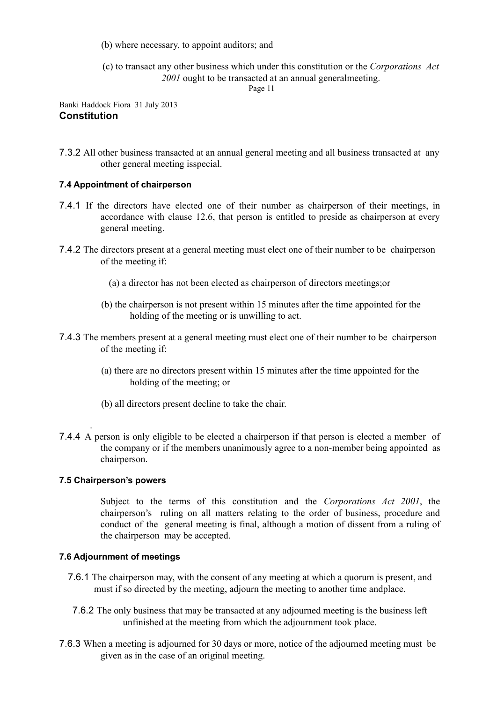(b) where necessary, to appoint auditors; and

(c) to transact any other business which under this constitution or the *Corporations Act 2001* ought to be transacted at an annual generalmeeting.

Page 11

# Banki Haddock Fiora 31 July 2013 **Constitution**

7.3.2 All other business transacted at an annual general meeting and all business transacted at any other general meeting isspecial.

# **7.4 Appointment of chairperson**

- 7.4.1 If the directors have elected one of their number as chairperson of their meetings, in accordance with clause 12.6, that person is entitled to preside as chairperson at every general meeting.
- 7.4.2 The directors present at a general meeting must elect one of their number to be chairperson of the meeting if:
	- (a) a director has not been elected as chairperson of directors meetings;or
	- (b) the chairperson is not present within 15 minutes after the time appointed for the holding of the meeting or is unwilling to act.
- 7.4.3 The members present at a general meeting must elect one of their number to be chairperson of the meeting if:
	- (a) there are no directors present within 15 minutes after the time appointed for the holding of the meeting; or
	- (b) all directors present decline to take the chair.
- 7.4.4 A person is only eligible to be elected a chairperson if that person is elected a member of the company or if the members unanimously agree to a non-member being appointed as chairperson.

# **7.5 Chairperson's powers**

.

Subject to the terms of this constitution and the *Corporations Act 2001*, the chairperson's ruling on all matters relating to the order of business, procedure and conduct of the general meeting is final, although a motion of dissent from a ruling of the chairperson may be accepted.

# **7.6 Adjournment of meetings**

- 7.6.1 The chairperson may, with the consent of any meeting at which a quorum is present, and must if so directed by the meeting, adjourn the meeting to another time andplace.
- 7.6.2 The only business that may be transacted at any adjourned meeting is the business left unfinished at the meeting from which the adjournment took place.
- 7.6.3 When a meeting is adjourned for 30 days or more, notice of the adjourned meeting must be given as in the case of an original meeting.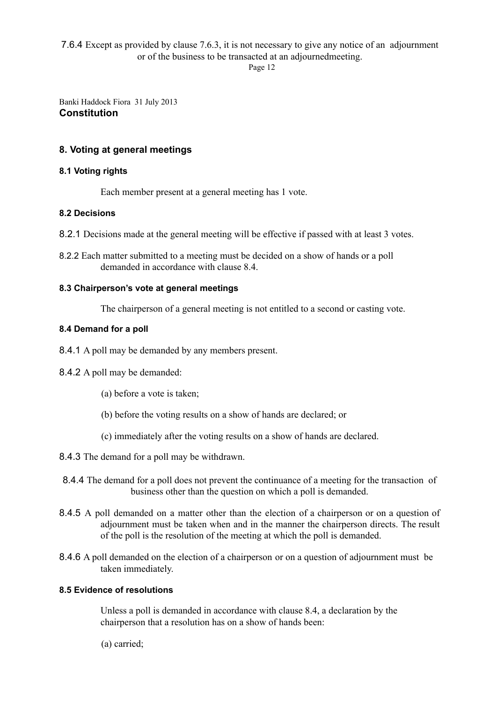# 7.6.4 Except as provided by clause 7.6.3, it is not necessary to give any notice of an adjournment or of the business to be transacted at an adjournedmeeting.

Page 12

Banki Haddock Fiora 31 July 2013 **Constitution**

# **8. Voting at general meetings**

# **8.1 Voting rights**

Each member present at a general meeting has 1 vote.

# **8.2 Decisions**

- 8.2.1 Decisions made at the general meeting will be effective if passed with at least 3 votes.
- 8.2.2 Each matter submitted to a meeting must be decided on a show of hands or a poll demanded in accordance with clause 8.4.

## **8.3 Chairperson's vote at general meetings**

The chairperson of a general meeting is not entitled to a second or casting vote.

## **8.4 Demand for a poll**

- 8.4.1 A poll may be demanded by any members present.
- 8.4.2 A poll may be demanded:
	- (a) before a vote is taken;
	- (b) before the voting results on a show of hands are declared; or
	- (c) immediately after the voting results on a show of hands are declared.
- 8.4.3 The demand for a poll may be withdrawn.
- 8.4.4 The demand for a poll does not prevent the continuance of a meeting for the transaction of business other than the question on which a poll is demanded.
- 8.4.5 A poll demanded on a matter other than the election of a chairperson or on a question of adjournment must be taken when and in the manner the chairperson directs. The result of the poll is the resolution of the meeting at which the poll is demanded.
- 8.4.6 A poll demanded on the election of a chairperson or on a question of adjournment must be taken immediately.

# **8.5 Evidence of resolutions**

Unless a poll is demanded in accordance with clause 8.4, a declaration by the chairperson that a resolution has on a show of hands been:

(a) carried;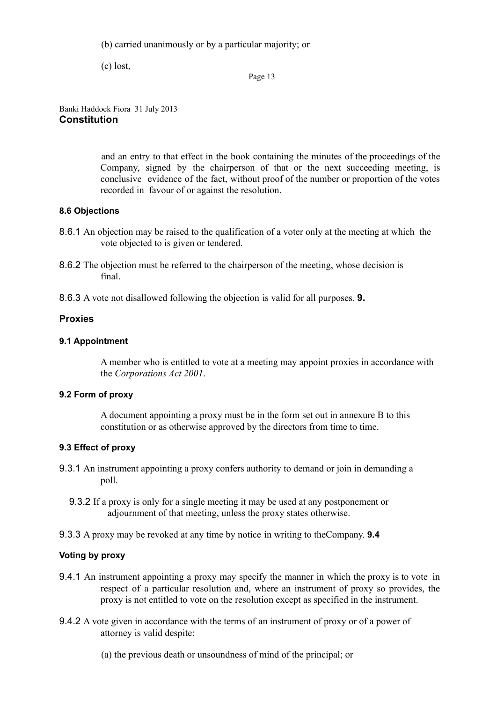(b) carried unanimously or by a particular majority; or

(c) lost,

Page 13

Banki Haddock Fiora 31 July 2013 **Constitution**

> and an entry to that effect in the book containing the minutes of the proceedings of the Company, signed by the chairperson of that or the next succeeding meeting, is conclusive evidence of the fact, without proof of the number or proportion of the votes recorded in favour of or against the resolution.

## **8.6 Objections**

- 8.6.1 An objection may be raised to the qualification of a voter only at the meeting at which the vote objected to is given or tendered.
- 8.6.2 The objection must be referred to the chairperson of the meeting, whose decision is final.
- 8.6.3 A vote not disallowed following the objection is valid for all purposes. **9.**

# **Proxies**

## **9.1 Appointment**

A member who is entitled to vote at a meeting may appoint proxies in accordance with the *Corporations Act 2001*.

## **9.2 Form of proxy**

A document appointing a proxy must be in the form set out in annexure B to this constitution or as otherwise approved by the directors from time to time.

# **9.3 Effect of proxy**

- 9.3.1 An instrument appointing a proxy confers authority to demand or join in demanding a poll.
	- 9.3.2 If a proxy is only for a single meeting it may be used at any postponement or adjournment of that meeting, unless the proxy states otherwise.
- 9.3.3 A proxy may be revoked at any time by notice in writing to theCompany. **9.4**

# **Voting by proxy**

- 9.4.1 An instrument appointing a proxy may specify the manner in which the proxy is to vote in respect of a particular resolution and, where an instrument of proxy so provides, the proxy is not entitled to vote on the resolution except as specified in the instrument.
- 9.4.2 A vote given in accordance with the terms of an instrument of proxy or of a power of attorney is valid despite:
	- (a) the previous death or unsoundness of mind of the principal; or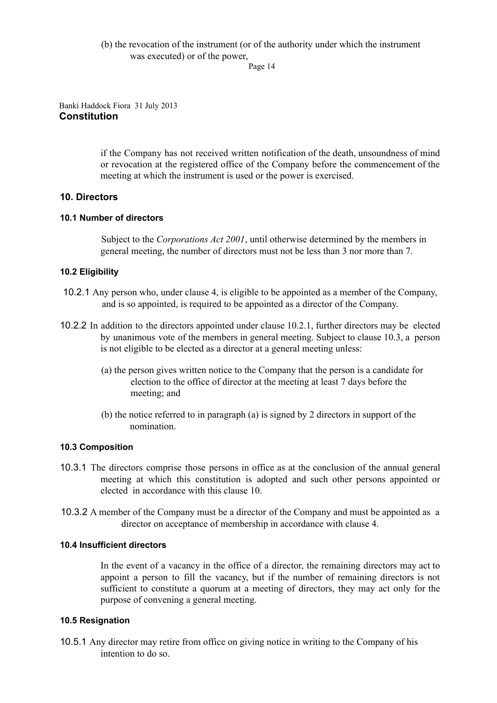# (b) the revocation of the instrument (or of the authority under which the instrument was executed) or of the power,

Page 14

## Banki Haddock Fiora 31 July 2013 **Constitution**

if the Company has not received written notification of the death, unsoundness of mind or revocation at the registered office of the Company before the commencement of the meeting at which the instrument is used or the power is exercised.

# **10. Directors**

# **10.1 Number of directors**

Subject to the *Corporations Act 2001*, until otherwise determined by the members in general meeting, the number of directors must not be less than 3 nor more than 7.

# **10.2 Eligibility**

- 10.2.1 Any person who, under clause 4, is eligible to be appointed as a member of the Company, and is so appointed, is required to be appointed as a director of the Company.
- 10.2.2 In addition to the directors appointed under clause 10.2.1, further directors may be elected by unanimous vote of the members in general meeting. Subject to clause 10.3, a person is not eligible to be elected as a director at a general meeting unless:
	- (a) the person gives written notice to the Company that the person is a candidate for election to the office of director at the meeting at least 7 days before the meeting; and
	- (b) the notice referred to in paragraph (a) is signed by 2 directors in support of the nomination.

# **10.3 Composition**

- 10.3.1 The directors comprise those persons in office as at the conclusion of the annual general meeting at which this constitution is adopted and such other persons appointed or elected in accordance with this clause 10.
- 10.3.2 A member of the Company must be a director of the Company and must be appointed as a director on acceptance of membership in accordance with clause 4.

# **10.4 Insufficient directors**

In the event of a vacancy in the office of a director, the remaining directors may act to appoint a person to fill the vacancy, but if the number of remaining directors is not sufficient to constitute a quorum at a meeting of directors, they may act only for the purpose of convening a general meeting.

# **10.5 Resignation**

10.5.1 Any director may retire from office on giving notice in writing to the Company of his intention to do so.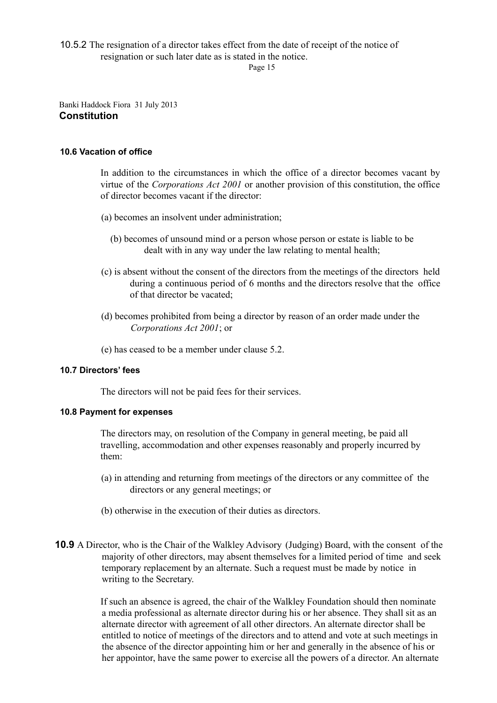10.5.2 The resignation of a director takes effect from the date of receipt of the notice of

resignation or such later date as is stated in the notice.

Page 15

Banki Haddock Fiora 31 July 2013 **Constitution**

## **10.6 Vacation of office**

In addition to the circumstances in which the office of a director becomes vacant by virtue of the *Corporations Act 2001* or another provision of this constitution, the office of director becomes vacant if the director:

- (a) becomes an insolvent under administration;
	- (b) becomes of unsound mind or a person whose person or estate is liable to be dealt with in any way under the law relating to mental health;
- (c) is absent without the consent of the directors from the meetings of the directors held during a continuous period of 6 months and the directors resolve that the office of that director be vacated;
- (d) becomes prohibited from being a director by reason of an order made under the *Corporations Act 2001*; or
- (e) has ceased to be a member under clause 5.2.

# **10.7 Directors' fees**

The directors will not be paid fees for their services.

#### **10.8 Payment for expenses**

The directors may, on resolution of the Company in general meeting, be paid all travelling, accommodation and other expenses reasonably and properly incurred by them:

- (a) in attending and returning from meetings of the directors or any committee of the directors or any general meetings; or
- (b) otherwise in the execution of their duties as directors.
- **10.9** A Director, who is the Chair of the Walkley Advisory (Judging) Board, with the consent of the majority of other directors, may absent themselves for a limited period of time and seek temporary replacement by an alternate. Such a request must be made by notice in writing to the Secretary.

If such an absence is agreed, the chair of the Walkley Foundation should then nominate a media professional as alternate director during his or her absence. They shall sit as an alternate director with agreement of all other directors. An alternate director shall be entitled to notice of meetings of the directors and to attend and vote at such meetings in the absence of the director appointing him or her and generally in the absence of his or her appointor, have the same power to exercise all the powers of a director. An alternate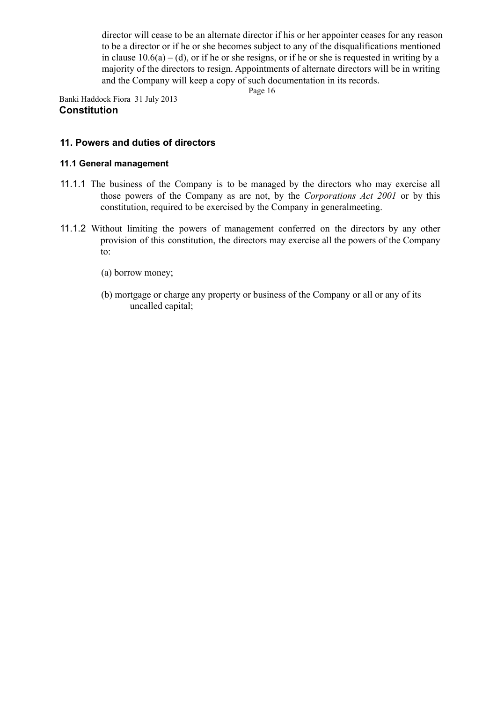director will cease to be an alternate director if his or her appointer ceases for any reason to be a director or if he or she becomes subject to any of the disqualifications mentioned in clause  $10.6(a) - (d)$ , or if he or she resigns, or if he or she is requested in writing by a majority of the directors to resign. Appointments of alternate directors will be in writing and the Company will keep a copy of such documentation in its records.

Page 16

Banki Haddock Fiora 31 July 2013 **Constitution**

# **11. Powers and duties of directors**

## **11.1 General management**

- 11.1.1 The business of the Company is to be managed by the directors who may exercise all those powers of the Company as are not, by the *Corporations Act 2001* or by this constitution, required to be exercised by the Company in generalmeeting.
- 11.1.2 Without limiting the powers of management conferred on the directors by any other provision of this constitution, the directors may exercise all the powers of the Company to:
	- (a) borrow money;
	- (b) mortgage or charge any property or business of the Company or all or any of its uncalled capital;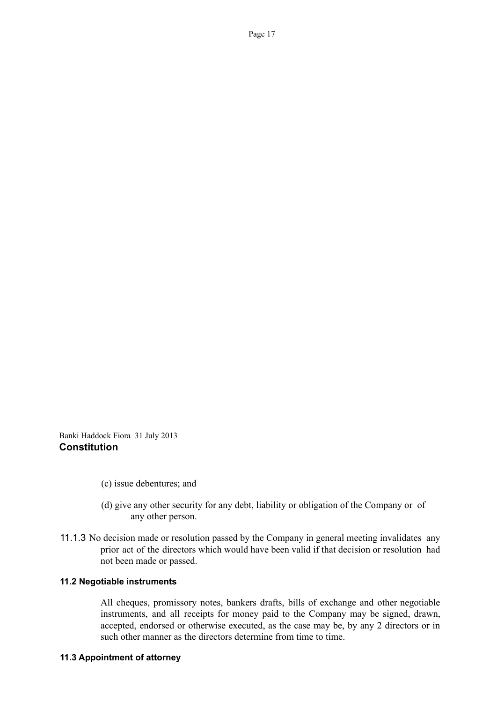Banki Haddock Fiora 31 July 2013 **Constitution**

- (c) issue debentures; and
- (d) give any other security for any debt, liability or obligation of the Company or of any other person.
- 11.1.3 No decision made or resolution passed by the Company in general meeting invalidates any prior act of the directors which would have been valid if that decision or resolution had not been made or passed.

### **11.2 Negotiable instruments**

All cheques, promissory notes, bankers drafts, bills of exchange and other negotiable instruments, and all receipts for money paid to the Company may be signed, drawn, accepted, endorsed or otherwise executed, as the case may be, by any 2 directors or in such other manner as the directors determine from time to time.

#### **11.3 Appointment of attorney**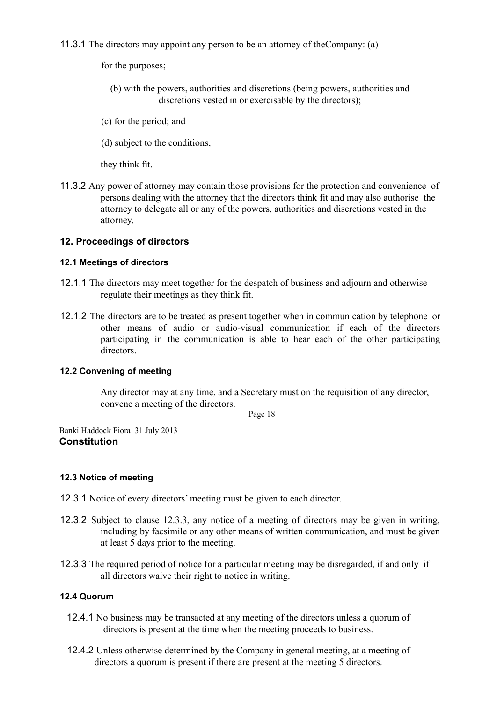11.3.1 The directors may appoint any person to be an attorney of theCompany: (a)

for the purposes;

- (b) with the powers, authorities and discretions (being powers, authorities and discretions vested in or exercisable by the directors);
- (c) for the period; and
- (d) subject to the conditions,

they think fit.

11.3.2 Any power of attorney may contain those provisions for the protection and convenience of persons dealing with the attorney that the directors think fit and may also authorise the attorney to delegate all or any of the powers, authorities and discretions vested in the attorney.

# **12. Proceedings of directors**

# **12.1 Meetings of directors**

- 12.1.1 The directors may meet together for the despatch of business and adjourn and otherwise regulate their meetings as they think fit.
- 12.1.2 The directors are to be treated as present together when in communication by telephone or other means of audio or audio-visual communication if each of the directors participating in the communication is able to hear each of the other participating directors.

# **12.2 Convening of meeting**

Any director may at any time, and a Secretary must on the requisition of any director, convene a meeting of the directors.

Page 18

Banki Haddock Fiora 31 July 2013 **Constitution**

# **12.3 Notice of meeting**

- 12.3.1 Notice of every directors' meeting must be given to each director.
- 12.3.2 Subject to clause 12.3.3, any notice of a meeting of directors may be given in writing, including by facsimile or any other means of written communication, and must be given at least 5 days prior to the meeting.
- 12.3.3 The required period of notice for a particular meeting may be disregarded, if and only if all directors waive their right to notice in writing.

# **12.4 Quorum**

- 12.4.1 No business may be transacted at any meeting of the directors unless a quorum of directors is present at the time when the meeting proceeds to business.
- 12.4.2 Unless otherwise determined by the Company in general meeting, at a meeting of directors a quorum is present if there are present at the meeting 5 directors.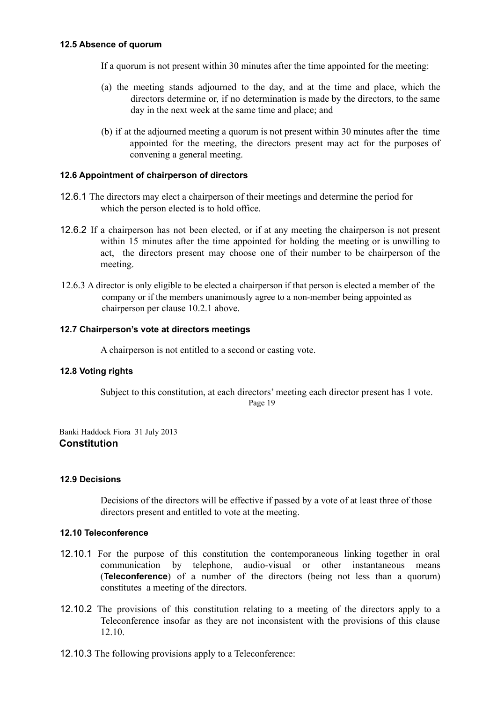## **12.5 Absence of quorum**

If a quorum is not present within 30 minutes after the time appointed for the meeting:

- (a) the meeting stands adjourned to the day, and at the time and place, which the directors determine or, if no determination is made by the directors, to the same day in the next week at the same time and place; and
- (b) if at the adjourned meeting a quorum is not present within 30 minutes after the time appointed for the meeting, the directors present may act for the purposes of convening a general meeting.

### **12.6 Appointment of chairperson of directors**

- 12.6.1 The directors may elect a chairperson of their meetings and determine the period for which the person elected is to hold office.
- 12.6.2 If a chairperson has not been elected, or if at any meeting the chairperson is not present within 15 minutes after the time appointed for holding the meeting or is unwilling to act, the directors present may choose one of their number to be chairperson of the meeting.
- 12.6.3 A director is only eligible to be elected a chairperson if that person is elected a member of the company or if the members unanimously agree to a non-member being appointed as chairperson per clause 10.2.1 above.

## **12.7 Chairperson's vote at directors meetings**

A chairperson is not entitled to a second or casting vote.

# **12.8 Voting rights**

Subject to this constitution, at each directors' meeting each director present has 1 vote. Page 19

Banki Haddock Fiora 31 July 2013 **Constitution**

#### **12.9 Decisions**

Decisions of the directors will be effective if passed by a vote of at least three of those directors present and entitled to vote at the meeting.

#### **12.10 Teleconference**

- 12.10.1 For the purpose of this constitution the contemporaneous linking together in oral communication by telephone, audio-visual or other instantaneous means (**Teleconference**) of a number of the directors (being not less than a quorum) constitutes a meeting of the directors.
- 12.10.2 The provisions of this constitution relating to a meeting of the directors apply to a Teleconference insofar as they are not inconsistent with the provisions of this clause 12.10.
- 12.10.3 The following provisions apply to a Teleconference: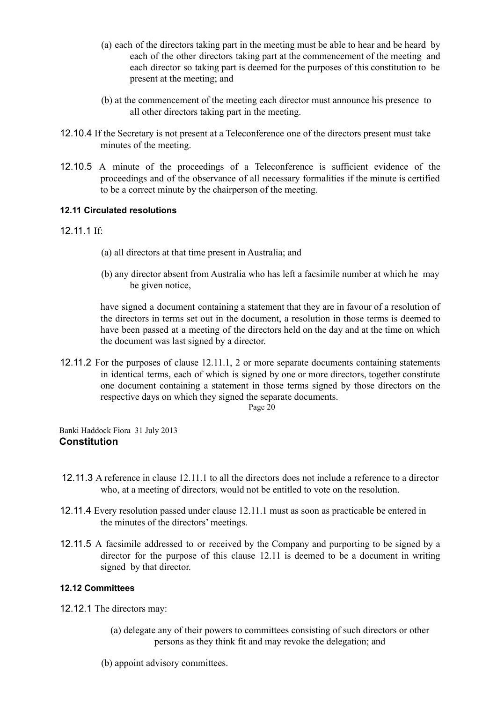- (a) each of the directors taking part in the meeting must be able to hear and be heard by each of the other directors taking part at the commencement of the meeting and each director so taking part is deemed for the purposes of this constitution to be present at the meeting; and
- (b) at the commencement of the meeting each director must announce his presence to all other directors taking part in the meeting.
- 12.10.4 If the Secretary is not present at a Teleconference one of the directors present must take minutes of the meeting.
- 12.10.5 A minute of the proceedings of a Teleconference is sufficient evidence of the proceedings and of the observance of all necessary formalities if the minute is certified to be a correct minute by the chairperson of the meeting.

# **12.11 Circulated resolutions**

# 12.11.1 If:

- (a) all directors at that time present in Australia; and
- (b) any director absent from Australia who has left a facsimile number at which he may be given notice,

have signed a document containing a statement that they are in favour of a resolution of the directors in terms set out in the document, a resolution in those terms is deemed to have been passed at a meeting of the directors held on the day and at the time on which the document was last signed by a director.

12.11.2 For the purposes of clause 12.11.1, 2 or more separate documents containing statements in identical terms, each of which is signed by one or more directors, together constitute one document containing a statement in those terms signed by those directors on the respective days on which they signed the separate documents.

Page 20

Banki Haddock Fiora 31 July 2013 **Constitution**

- 12.11.3 A reference in clause 12.11.1 to all the directors does not include a reference to a director who, at a meeting of directors, would not be entitled to vote on the resolution.
- 12.11.4 Every resolution passed under clause 12.11.1 must as soon as practicable be entered in the minutes of the directors' meetings.
- 12.11.5 A facsimile addressed to or received by the Company and purporting to be signed by a director for the purpose of this clause 12.11 is deemed to be a document in writing signed by that director.

# **12.12 Committees**

12.12.1 The directors may:

- (a) delegate any of their powers to committees consisting of such directors or other persons as they think fit and may revoke the delegation; and
- (b) appoint advisory committees.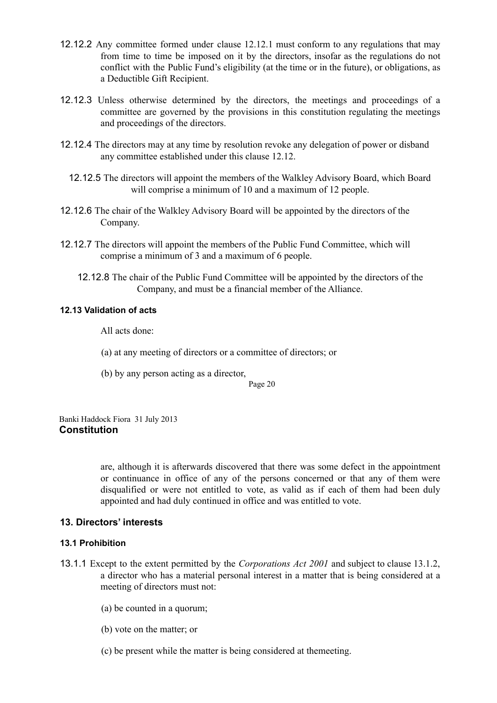- 12.12.2 Any committee formed under clause 12.12.1 must conform to any regulations that may from time to time be imposed on it by the directors, insofar as the regulations do not conflict with the Public Fund's eligibility (at the time or in the future), or obligations, as a Deductible Gift Recipient.
- 12.12.3 Unless otherwise determined by the directors, the meetings and proceedings of a committee are governed by the provisions in this constitution regulating the meetings and proceedings of the directors.
- 12.12.4 The directors may at any time by resolution revoke any delegation of power or disband any committee established under this clause 12.12.
	- 12.12.5 The directors will appoint the members of the Walkley Advisory Board, which Board will comprise a minimum of 10 and a maximum of 12 people.
- 12.12.6 The chair of the Walkley Advisory Board will be appointed by the directors of the Company.
- 12.12.7 The directors will appoint the members of the Public Fund Committee, which will comprise a minimum of 3 and a maximum of 6 people.
	- 12.12.8 The chair of the Public Fund Committee will be appointed by the directors of the Company, and must be a financial member of the Alliance.

## **12.13 Validation of acts**

All acts done:

- (a) at any meeting of directors or a committee of directors; or
- (b) by any person acting as a director,

Page 20

Banki Haddock Fiora 31 July 2013 **Constitution**

> are, although it is afterwards discovered that there was some defect in the appointment or continuance in office of any of the persons concerned or that any of them were disqualified or were not entitled to vote, as valid as if each of them had been duly appointed and had duly continued in office and was entitled to vote.

# **13. Directors' interests**

# **13.1 Prohibition**

- 13.1.1 Except to the extent permitted by the *Corporations Act 2001* and subject to clause 13.1.2, a director who has a material personal interest in a matter that is being considered at a meeting of directors must not:
	- (a) be counted in a quorum;
	- (b) vote on the matter; or
	- (c) be present while the matter is being considered at themeeting.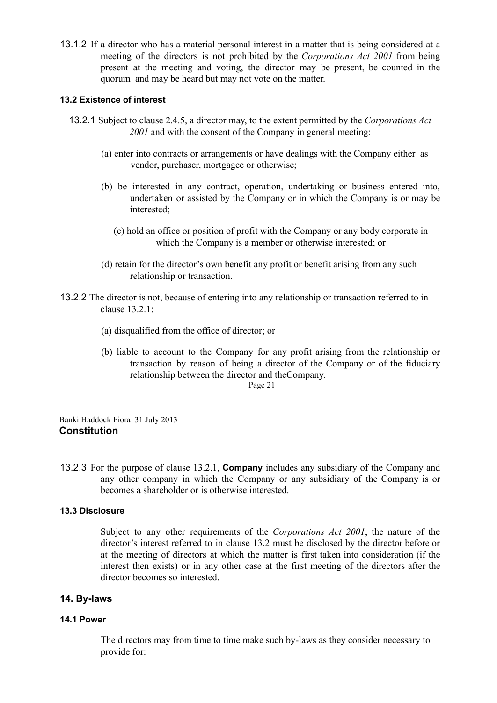13.1.2 If a director who has a material personal interest in a matter that is being considered at a meeting of the directors is not prohibited by the *Corporations Act 2001* from being present at the meeting and voting, the director may be present, be counted in the quorum and may be heard but may not vote on the matter.

## **13.2 Existence of interest**

- 13.2.1 Subject to clause 2.4.5, a director may, to the extent permitted by the *Corporations Act 2001* and with the consent of the Company in general meeting:
	- (a) enter into contracts or arrangements or have dealings with the Company either as vendor, purchaser, mortgagee or otherwise;
	- (b) be interested in any contract, operation, undertaking or business entered into, undertaken or assisted by the Company or in which the Company is or may be interested;
		- (c) hold an office or position of profit with the Company or any body corporate in which the Company is a member or otherwise interested; or
	- (d) retain for the director's own benefit any profit or benefit arising from any such relationship or transaction.
- 13.2.2 The director is not, because of entering into any relationship or transaction referred to in clause 13.2.1:
	- (a) disqualified from the office of director; or
	- (b) liable to account to the Company for any profit arising from the relationship or transaction by reason of being a director of the Company or of the fiduciary relationship between the director and theCompany.

Page 21

Banki Haddock Fiora 31 July 2013 **Constitution**

13.2.3 For the purpose of clause 13.2.1, **Company** includes any subsidiary of the Company and any other company in which the Company or any subsidiary of the Company is or becomes a shareholder or is otherwise interested.

### **13.3 Disclosure**

Subject to any other requirements of the *Corporations Act 2001*, the nature of the director's interest referred to in clause 13.2 must be disclosed by the director before or at the meeting of directors at which the matter is first taken into consideration (if the interest then exists) or in any other case at the first meeting of the directors after the director becomes so interested.

# **14. By-laws**

#### **14.1 Power**

The directors may from time to time make such by-laws as they consider necessary to provide for: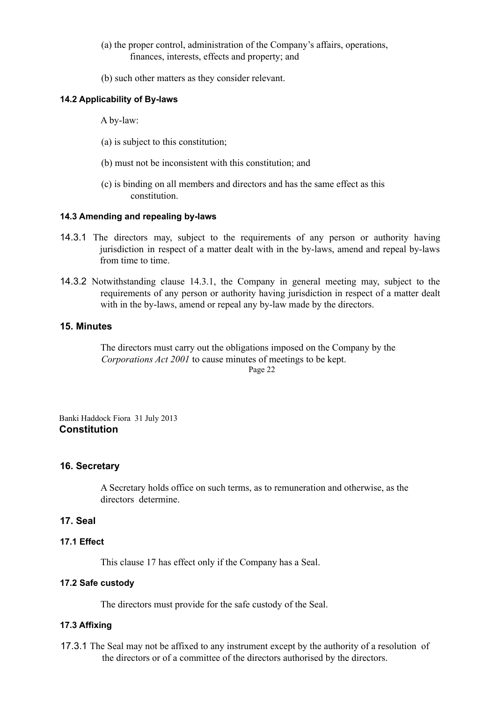- (a) the proper control, administration of the Company's affairs, operations, finances, interests, effects and property; and
- (b) such other matters as they consider relevant.

## **14.2 Applicability of By-laws**

A by-law:

- (a) is subject to this constitution;
- (b) must not be inconsistent with this constitution; and
- (c) is binding on all members and directors and has the same effect as this constitution.

## **14.3 Amending and repealing by-laws**

- 14.3.1 The directors may, subject to the requirements of any person or authority having jurisdiction in respect of a matter dealt with in the by-laws, amend and repeal by-laws from time to time.
- 14.3.2 Notwithstanding clause 14.3.1, the Company in general meeting may, subject to the requirements of any person or authority having jurisdiction in respect of a matter dealt with in the by-laws, amend or repeal any by-law made by the directors.

# **15. Minutes**

The directors must carry out the obligations imposed on the Company by the *Corporations Act 2001* to cause minutes of meetings to be kept. Page 22

Banki Haddock Fiora 31 July 2013 **Constitution**

# **16. Secretary**

A Secretary holds office on such terms, as to remuneration and otherwise, as the directors determine.

## **17. Seal**

#### **17.1 Effect**

This clause 17 has effect only if the Company has a Seal.

## **17.2 Safe custody**

The directors must provide for the safe custody of the Seal.

### **17.3 Affixing**

17.3.1 The Seal may not be affixed to any instrument except by the authority of a resolution of the directors or of a committee of the directors authorised by the directors.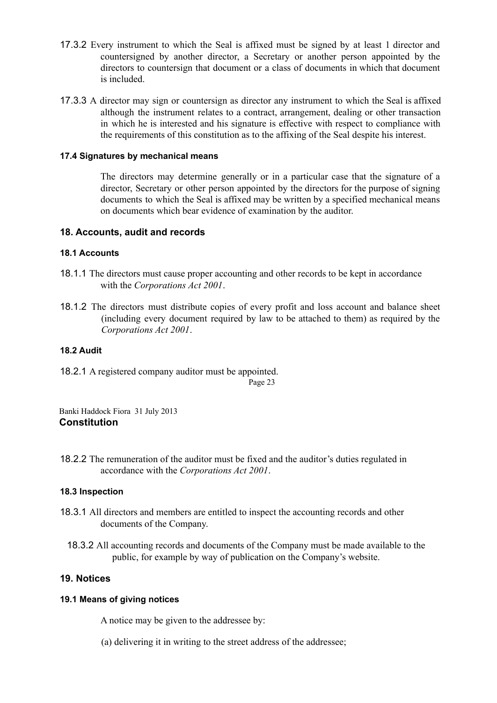- 17.3.2 Every instrument to which the Seal is affixed must be signed by at least 1 director and countersigned by another director, a Secretary or another person appointed by the directors to countersign that document or a class of documents in which that document is included.
- 17.3.3 A director may sign or countersign as director any instrument to which the Seal is affixed although the instrument relates to a contract, arrangement, dealing or other transaction in which he is interested and his signature is effective with respect to compliance with the requirements of this constitution as to the affixing of the Seal despite his interest.

# **17.4 Signatures by mechanical means**

The directors may determine generally or in a particular case that the signature of a director, Secretary or other person appointed by the directors for the purpose of signing documents to which the Seal is affixed may be written by a specified mechanical means on documents which bear evidence of examination by the auditor.

#### **18. Accounts, audit and records**

#### **18.1 Accounts**

- 18.1.1 The directors must cause proper accounting and other records to be kept in accordance with the *Corporations Act 2001*.
- 18.1.2 The directors must distribute copies of every profit and loss account and balance sheet (including every document required by law to be attached to them) as required by the *Corporations Act 2001*.

#### **18.2 Audit**

18.2.1 A registered company auditor must be appointed. Page 23

Banki Haddock Fiora 31 July 2013 **Constitution**

18.2.2 The remuneration of the auditor must be fixed and the auditor's duties regulated in accordance with the *Corporations Act 2001*.

#### **18.3 Inspection**

- 18.3.1 All directors and members are entitled to inspect the accounting records and other documents of the Company.
	- 18.3.2 All accounting records and documents of the Company must be made available to the public, for example by way of publication on the Company's website.

#### **19. Notices**

### **19.1 Means of giving notices**

A notice may be given to the addressee by:

(a) delivering it in writing to the street address of the addressee;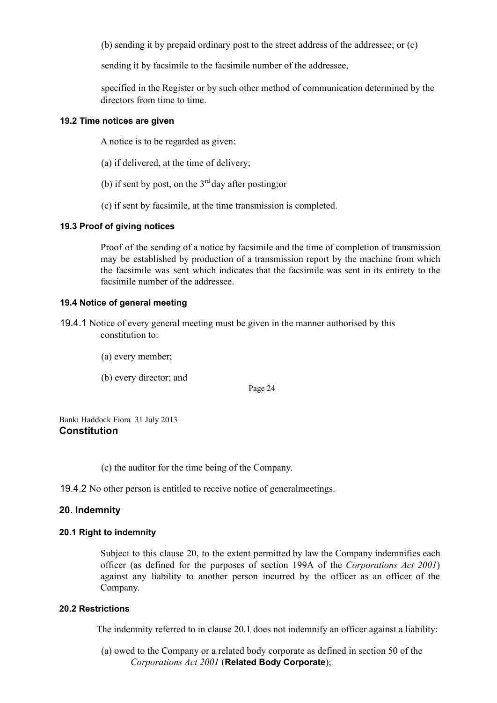(b) sending it by prepaid ordinary post to the street address of the addressee; or (c)

sending it by facsimile to the facsimile number of the addressee,

specified in the Register or by such other method of communication determined by the directors from time to time.

## **19.2 Time notices are given**

A notice is to be regarded as given:

- (a) if delivered, at the time of delivery;
- (b) if sent by post, on the  $3<sup>rd</sup>$  day after posting; or
- (c) if sent by facsimile, at the time transmission is completed.

# **19.3 Proof of giving notices**

Proof of the sending of a notice by facsimile and the time of completion of transmission may be established by production of a transmission report by the machine from which the facsimile was sent which indicates that the facsimile was sent in its entirety to the facsimile number of the addressee.

# **19.4 Notice of general meeting**

- 19.4.1 Notice of every general meeting must be given in the manner authorised by this constitution to:
	- (a) every member;
	- (b) every director; and

Page 24

Banki Haddock Fiora 31 July 2013 **Constitution**

(c) the auditor for the time being of the Company.

19.4.2 No other person is entitled to receive notice of generalmeetings.

# **20. Indemnity**

# **20.1 Right to indemnity**

Subject to this clause 20, to the extent permitted by law the Company indemnifies each officer (as defined for the purposes of section 199A of the *Corporations Act 2001*) against any liability to another person incurred by the officer as an officer of the Company.

# **20.2 Restrictions**

The indemnity referred to in clause 20.1 does not indemnify an officer against a liability:

(a) owed to the Company or a related body corporate as defined in section 50 of the *Corporations Act 2001* (**Related Body Corporate**);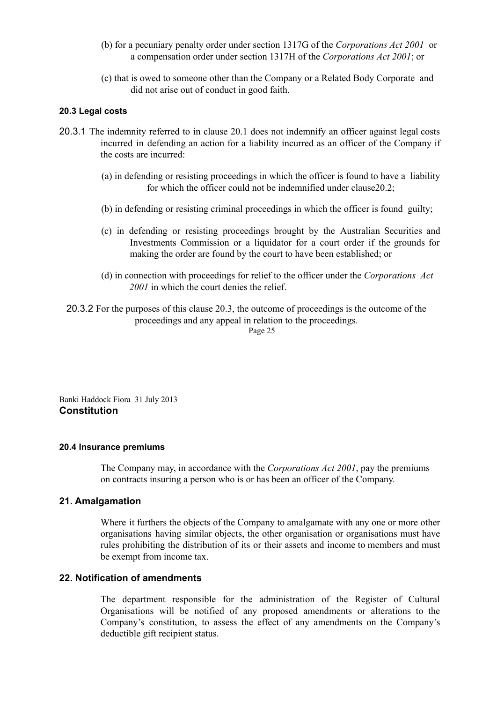- (b) for a pecuniary penalty order under section 1317G of the *Corporations Act 2001* or a compensation order under section 1317H of the *Corporations Act 2001*; or
- (c) that is owed to someone other than the Company or a Related Body Corporate and did not arise out of conduct in good faith.

## **20.3 Legal costs**

- 20.3.1 The indemnity referred to in clause 20.1 does not indemnify an officer against legal costs incurred in defending an action for a liability incurred as an officer of the Company if the costs are incurred:
	- (a) in defending or resisting proceedings in which the officer is found to have a liability for which the officer could not be indemnified under clause20.2;
	- (b) in defending or resisting criminal proceedings in which the officer is found guilty;
	- (c) in defending or resisting proceedings brought by the Australian Securities and Investments Commission or a liquidator for a court order if the grounds for making the order are found by the court to have been established; or
	- (d) in connection with proceedings for relief to the officer under the *Corporations Act 2001* in which the court denies the relief.
	- 20.3.2 For the purposes of this clause 20.3, the outcome of proceedings is the outcome of the proceedings and any appeal in relation to the proceedings.

Page 25

Banki Haddock Fiora 31 July 2013 **Constitution**

#### **20.4 Insurance premiums**

The Company may, in accordance with the *Corporations Act 2001*, pay the premiums on contracts insuring a person who is or has been an officer of the Company.

# **21. Amalgamation**

Where it furthers the objects of the Company to amalgamate with any one or more other organisations having similar objects, the other organisation or organisations must have rules prohibiting the distribution of its or their assets and income to members and must be exempt from income tax.

# **22. Notification of amendments**

The department responsible for the administration of the Register of Cultural Organisations will be notified of any proposed amendments or alterations to the Company's constitution, to assess the effect of any amendments on the Company's deductible gift recipient status.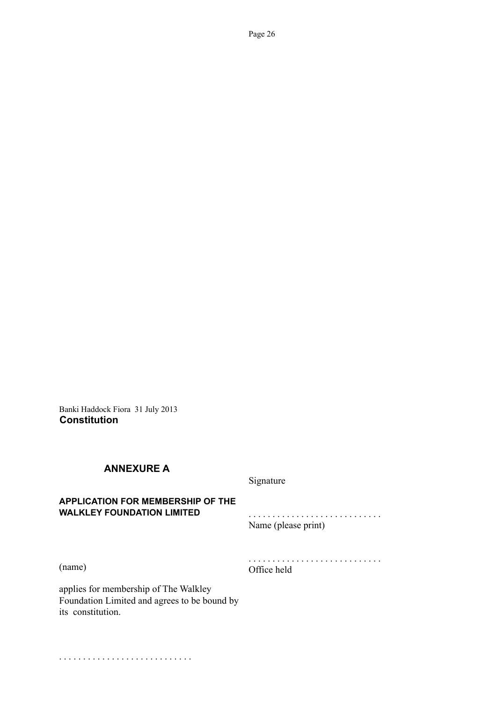Banki Haddock Fiora 31 July 2013 **Constitution**

# **ANNEXURE A**

Signature

# **APPLICATION FOR MEMBERSHIP OF THE WALKLEY FOUNDATION LIMITED**

. . . . . . . . . . . . . . . . . . . . . . . . . . . . Name (please print)

(name)

. . . . . . . . . . . . . . . . . . . . . . . . . . . . Office held

applies for membership of The Walkley Foundation Limited and agrees to be bound by its constitution.

. . . . . . . . . . . . . . . . . . . . . . . . . . . .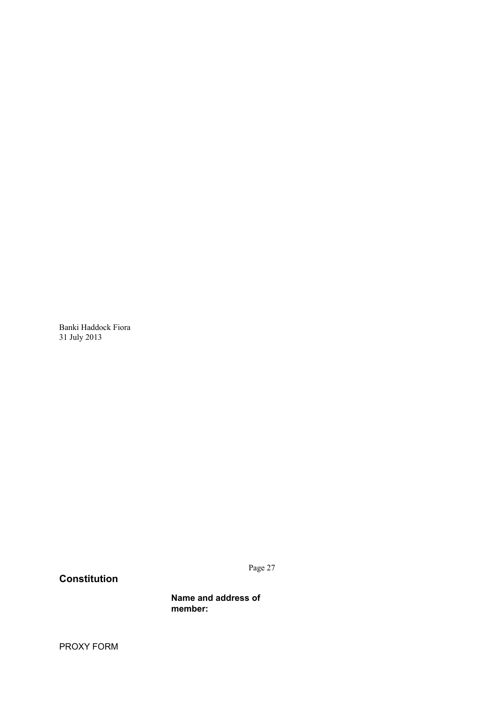Banki Haddock Fiora 31 July 2013

**Constitution**

Page 27

**Name and address of member:**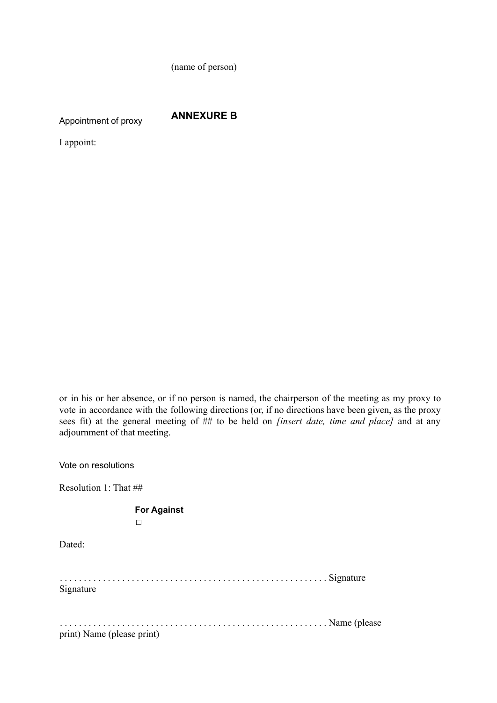(name of person)

Appointment of proxy

**ANNEXURE B**

I appoint:

or in his or her absence, or if no person is named, the chairperson of the meeting as my proxy to vote in accordance with the following directions (or, if no directions have been given, as the proxy sees fit) at the general meeting of ## to be held on *[insert date, time and place]* and at any adjournment of that meeting.

Vote on resolutions

Resolution 1: That ##

**For Against**

□

Dated:

. . . . . . . . . . . . . . . . . . . . . . . . . . . . . . . . . . . . . . . . . . . . . . . . . . . . . . . . Signature Signature

. . . . . . . . . . . . . . . . . . . . . . . . . . . . . . . . . . . . . . . . . . . . . . . . . . . . . . . . Name (please

print) Name (please print)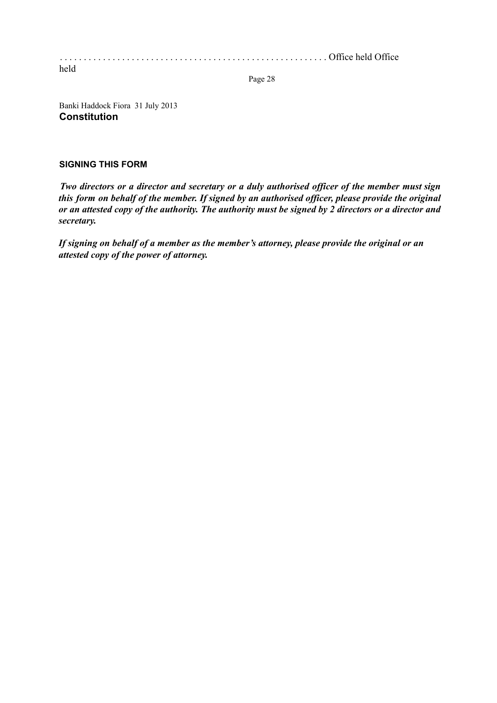. . . . . . . . . . . . . . . . . . . . . . . . . . . . . . . . . . . . . . . . . . . . . . . . . . . . . . . . Office held Office held

Page 28

Banki Haddock Fiora 31 July 2013 **Constitution**

# **SIGNING THIS FORM**

*Two directors or a director and secretary or a duly authorised of icer of the member must sign this form on behalf of the member. If signed by an authorised of icer, please provide the original* or an attested copy of the authority. The authority must be signed by 2 directors or a director and *secretary.*

*If signing on behalf of a member as the member's attorney, please provide the original or an attested copy of the power of attorney.*